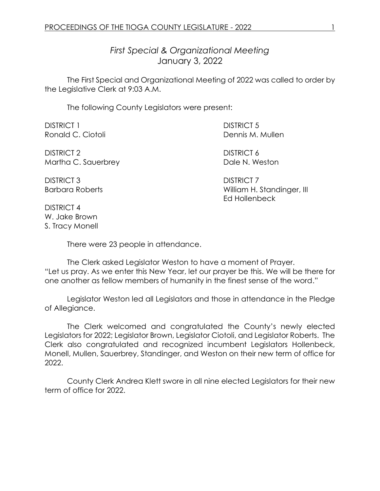*First Special & Organizational Meeting* January 3, 2022

The First Special and Organizational Meeting of 2022 was called to order by the Legislative Clerk at 9:03 A.M.

The following County Legislators were present:

| <b>DISTRICT 1</b>   | <b>DISTRICT 5</b> |
|---------------------|-------------------|
| Ronald C. Ciotoli   | Dennis M. Mullen  |
| DISTRICT 2          | DISTRICT 6        |
| Martha C. Sauerbrey | Dale N. Weston    |
| DISTRICT 3          | <b>DISTRICT 7</b> |

Barbara Roberts **Milliam H. Standinger, III** Ed Hollenbeck

DISTRICT 4 W. Jake Brown S. Tracy Monell

There were 23 people in attendance.

The Clerk asked Legislator Weston to have a moment of Prayer. "Let us pray. As we enter this New Year, let our prayer be this. We will be there for one another as fellow members of humanity in the finest sense of the word."

Legislator Weston led all Legislators and those in attendance in the Pledge of Allegiance.

The Clerk welcomed and congratulated the County's newly elected Legislators for 2022; Legislator Brown, Legislator Ciotoli, and Legislator Roberts. The Clerk also congratulated and recognized incumbent Legislators Hollenbeck, Monell, Mullen, Sauerbrey, Standinger, and Weston on their new term of office for 2022.

County Clerk Andrea Klett swore in all nine elected Legislators for their new term of office for 2022.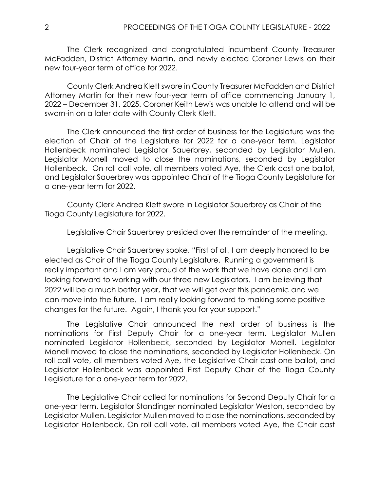The Clerk recognized and congratulated incumbent County Treasurer McFadden, District Attorney Martin, and newly elected Coroner Lewis on their new four-year term of office for 2022.

County Clerk Andrea Klett swore in County Treasurer McFadden and District Attorney Martin for their new four-year term of office commencing January 1, 2022 – December 31, 2025. Coroner Keith Lewis was unable to attend and will be sworn-in on a later date with County Clerk Klett.

The Clerk announced the first order of business for the Legislature was the election of Chair of the Legislature for 2022 for a one-year term. Legislator Hollenbeck nominated Legislator Sauerbrey, seconded by Legislator Mullen. Legislator Monell moved to close the nominations, seconded by Legislator Hollenbeck. On roll call vote, all members voted Aye, the Clerk cast one ballot, and Legislator Sauerbrey was appointed Chair of the Tioga County Legislature for a one-year term for 2022.

County Clerk Andrea Klett swore in Legislator Sauerbrey as Chair of the Tioga County Legislature for 2022.

Legislative Chair Sauerbrey presided over the remainder of the meeting.

Legislative Chair Sauerbrey spoke. "First of all, I am deeply honored to be elected as Chair of the Tioga County Legislature. Running a government is really important and I am very proud of the work that we have done and I am looking forward to working with our three new Legislators. I am believing that 2022 will be a much better year, that we will get over this pandemic and we can move into the future. I am really looking forward to making some positive changes for the future. Again, I thank you for your support."

The Legislative Chair announced the next order of business is the nominations for First Deputy Chair for a one-year term. Legislator Mullen nominated Legislator Hollenbeck, seconded by Legislator Monell. Legislator Monell moved to close the nominations, seconded by Legislator Hollenbeck. On roll call vote, all members voted Aye, the Legislative Chair cast one ballot, and Legislator Hollenbeck was appointed First Deputy Chair of the Tioga County Legislature for a one-year term for 2022.

The Legislative Chair called for nominations for Second Deputy Chair for a one-year term. Legislator Standinger nominated Legislator Weston, seconded by Legislator Mullen. Legislator Mullen moved to close the nominations, seconded by Legislator Hollenbeck. On roll call vote, all members voted Aye, the Chair cast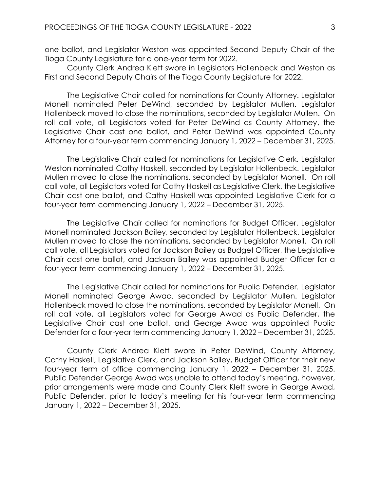one ballot, and Legislator Weston was appointed Second Deputy Chair of the Tioga County Legislature for a one-year term for 2022.

County Clerk Andrea Klett swore in Legislators Hollenbeck and Weston as First and Second Deputy Chairs of the Tioga County Legislature for 2022.

The Legislative Chair called for nominations for County Attorney. Legislator Monell nominated Peter DeWind, seconded by Legislator Mullen. Legislator Hollenbeck moved to close the nominations, seconded by Legislator Mullen. On roll call vote, all Legislators voted for Peter DeWind as County Attorney, the Legislative Chair cast one ballot, and Peter DeWind was appointed County Attorney for a four-year term commencing January 1, 2022 – December 31, 2025.

The Legislative Chair called for nominations for Legislative Clerk. Legislator Weston nominated Cathy Haskell, seconded by Legislator Hollenbeck. Legislator Mullen moved to close the nominations, seconded by Legislator Monell. On roll call vote, all Legislators voted for Cathy Haskell as Legislative Clerk, the Legislative Chair cast one ballot, and Cathy Haskell was appointed Legislative Clerk for a four-year term commencing January 1, 2022 – December 31, 2025.

The Legislative Chair called for nominations for Budget Officer. Legislator Monell nominated Jackson Bailey, seconded by Legislator Hollenbeck. Legislator Mullen moved to close the nominations, seconded by Legislator Monell. On roll call vote, all Legislators voted for Jackson Bailey as Budget Officer, the Legislative Chair cast one ballot, and Jackson Bailey was appointed Budget Officer for a four-year term commencing January 1, 2022 – December 31, 2025.

The Legislative Chair called for nominations for Public Defender. Legislator Monell nominated George Awad, seconded by Legislator Mullen. Legislator Hollenbeck moved to close the nominations, seconded by Legislator Monell. On roll call vote, all Legislators voted for George Awad as Public Defender, the Legislative Chair cast one ballot, and George Awad was appointed Public Defender for a four-year term commencing January 1, 2022 – December 31, 2025.

County Clerk Andrea Klett swore in Peter DeWind, County Attorney, Cathy Haskell, Legislative Clerk, and Jackson Bailey, Budget Officer for their new four-year term of office commencing January 1, 2022 – December 31, 2025. Public Defender George Awad was unable to attend today's meeting, however, prior arrangements were made and County Clerk Klett swore in George Awad, Public Defender, prior to today's meeting for his four-year term commencing January 1, 2022 – December 31, 2025.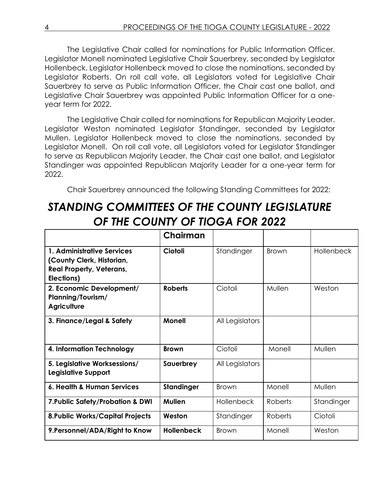The Legislative Chair called for nominations for Public Information Officer. Legislator Monell nominated Legislative Chair Sauerbrey, seconded by Legislator Hollenbeck. Legislator Hollenbeck moved to close the nominations, seconded by Legislator Roberts. On roll call vote, all Legislators voted for Legislative Chair Sauerbrey to serve as Public Information Officer, the Chair cast one ballot, and Legislative Chair Sauerbrey was appointed Public Information Officer for a oneyear term for 2022.

The Legislative Chair called for nominations for Republican Majority Leader. Legislator Weston nominated Legislator Standinger, seconded by Legislator Mullen. Legislator Hollenbeck moved to close the nominations, seconded by Legislator Monell. On roll call vote, all Legislators voted for Legislator Standinger to serve as Republican Majority Leader, the Chair cast one ballot, and Legislator Standinger was appointed Republican Majority Leader for a one-year term for 2022.

Chair Sauerbrey announced the following Standing Committees for 2022:

## *STANDING COMMITTEES OF THE COUNTY LEGISLATURE OF THE COUNTY OF TIOGA FOR 2022*

|                                                                                                          | Chairman          |                   |              |                   |
|----------------------------------------------------------------------------------------------------------|-------------------|-------------------|--------------|-------------------|
| 1. Administrative Services<br>(County Clerk, Historian,<br><b>Real Property, Veterans,</b><br>Elections) | Ciotoli           | Standinger        | <b>Brown</b> | <b>Hollenbeck</b> |
| 2. Economic Development/<br>Planning/Tourism/<br><b>Agriculture</b>                                      | <b>Roberts</b>    | Ciotoli           | Mullen       | Weston            |
| 3. Finance/Legal & Safety                                                                                | <b>Monell</b>     | All Legislators   |              |                   |
| 4. Information Technology                                                                                | <b>Brown</b>      | Ciotoli           | Monell       | Mullen            |
| 5. Legislative Worksessions/<br>Legislative Support                                                      | Sauerbrey         | All Legislators   |              |                   |
| 6. Health & Human Services                                                                               | <b>Standinger</b> | <b>Brown</b>      | Monell       | Mullen            |
| 7. Public Safety/Probation & DWI                                                                         | <b>Mullen</b>     | <b>Hollenbeck</b> | Roberts      | Standinger        |
| <b>8. Public Works/Capital Projects</b>                                                                  | Weston            | Standinger        | Roberts      | Ciotoli           |
| 9. Personnel/ADA/Right to Know                                                                           | <b>Hollenbeck</b> | <b>Brown</b>      | Monell       | Weston            |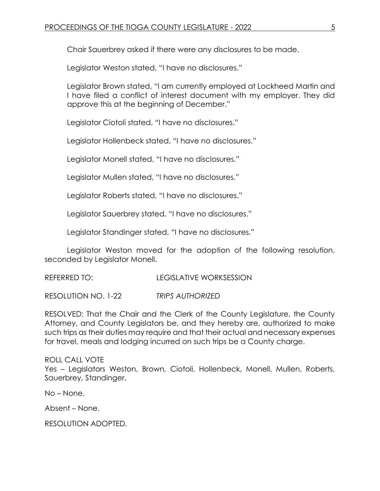Chair Sauerbrey asked if there were any disclosures to be made.

Legislator Weston stated, "I have no disclosures."

Legislator Brown stated, "I am currently employed at Lockheed Martin and I have filed a conflict of interest document with my employer. They did approve this at the beginning of December."

Legislator Ciotoli stated, "I have no disclosures."

Legislator Hollenbeck stated, "I have no disclosures."

Legislator Monell stated, "I have no disclosures."

Legislator Mullen stated, "I have no disclosures."

Legislator Roberts stated, "I have no disclosures."

Legislator Sauerbrey stated, "I have no disclosures."

Legislator Standinger stated, "I have no disclosures."

Legislator Weston moved for the adoption of the following resolution, seconded by Legislator Monell.

REFERRED TO: LEGISLATIVE WORKSESSION

RESOLUTION NO. 1-22 *TRIPS AUTHORIZED*

RESOLVED: That the Chair and the Clerk of the County Legislature, the County Attorney, and County Legislators be, and they hereby are, authorized to make such trips as their duties may require and that their actual and necessary expenses for travel, meals and lodging incurred on such trips be a County charge.

ROLL CALL VOTE Yes – Legislators Weston, Brown, Ciotoli, Hollenbeck, Monell, Mullen, Roberts, Sauerbrey, Standinger.

No – None.

Absent – None.

RESOLUTION ADOPTED.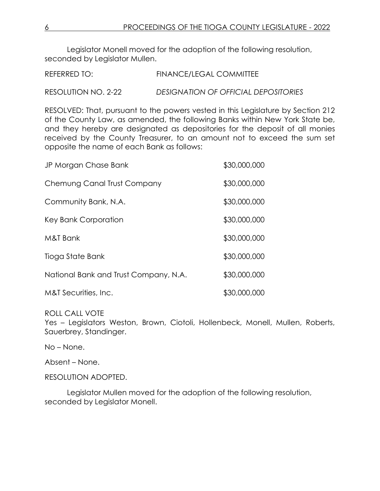Legislator Monell moved for the adoption of the following resolution, seconded by Legislator Mullen.

| REFERRED TO: | <b>FINANCE/LEGAL COMMITTEE</b> |  |
|--------------|--------------------------------|--|
|              |                                |  |

RESOLUTION NO. 2-22 *DESIGNATION OF OFFICIAL DEPOSITORIES*

RESOLVED: That, pursuant to the powers vested in this Legislature by Section 212 of the County Law, as amended, the following Banks within New York State be, and they hereby are designated as depositories for the deposit of all monies received by the County Treasurer, to an amount not to exceed the sum set opposite the name of each Bank as follows:

| JP Morgan Chase Bank                  | \$30,000,000 |
|---------------------------------------|--------------|
| Chemung Canal Trust Company           | \$30,000,000 |
| Community Bank, N.A.                  | \$30,000,000 |
| Key Bank Corporation                  | \$30,000,000 |
| M&T Bank                              | \$30,000,000 |
| Tioga State Bank                      | \$30,000,000 |
| National Bank and Trust Company, N.A. | \$30,000,000 |
| M&T Securities, Inc.                  | \$30,000,000 |

## ROLL CALL VOTE

Yes – Legislators Weston, Brown, Ciotoli, Hollenbeck, Monell, Mullen, Roberts, Sauerbrey, Standinger.

No – None.

Absent – None.

RESOLUTION ADOPTED.

Legislator Mullen moved for the adoption of the following resolution, seconded by Legislator Monell.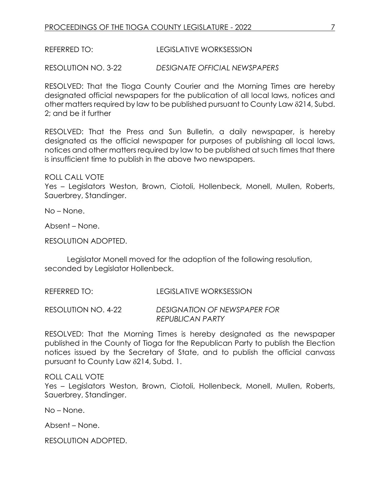REFERRED TO: LEGISLATIVE WORKSESSION

RESOLUTION NO. 3-22 *DESIGNATE OFFICIAL NEWSPAPERS*

RESOLVED: That the Tioga County Courier and the Morning Times are hereby designated official newspapers for the publication of all local laws, notices and other matters required by law to be published pursuant to County Law  $\delta$ 214, Subd. 2; and be it further

RESOLVED: That the Press and Sun Bulletin, a daily newspaper, is hereby designated as the official newspaper for purposes of publishing all local laws, notices and other matters required by law to be published at such times that there is insufficient time to publish in the above two newspapers.

ROLL CALL VOTE

Yes – Legislators Weston, Brown, Ciotoli, Hollenbeck, Monell, Mullen, Roberts, Sauerbrey, Standinger.

No – None.

Absent – None.

RESOLUTION ADOPTED.

Legislator Monell moved for the adoption of the following resolution, seconded by Legislator Hollenbeck.

REFERRED TO: LEGISLATIVE WORKSESSION

RESOLUTION NO. 4-22 *DESIGNATION OF NEWSPAPER FOR REPUBLICAN PARTY*

RESOLVED: That the Morning Times is hereby designated as the newspaper published in the County of Tioga for the Republican Party to publish the Election notices issued by the Secretary of State, and to publish the official canvass pursuant to County Law 214, Subd. 1.

## ROLL CALL VOTE

Yes – Legislators Weston, Brown, Ciotoli, Hollenbeck, Monell, Mullen, Roberts, Sauerbrey, Standinger.

No – None.

Absent – None.

RESOLUTION ADOPTED.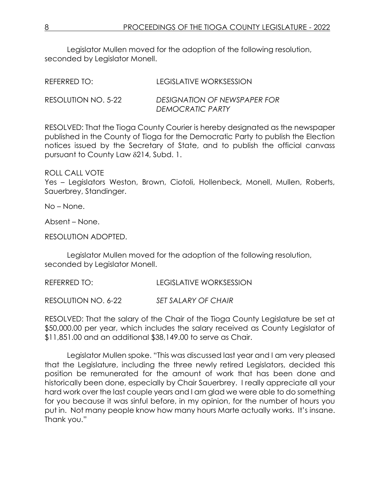Legislator Mullen moved for the adoption of the following resolution, seconded by Legislator Monell.

| REFERRED TO:        | LEGISLATIVE WORKSESSION                          |
|---------------------|--------------------------------------------------|
| RESOLUTION NO. 5-22 | DESIGNATION OF NEWSPAPER FOR<br>DEMOCRATIC PARTY |

RESOLVED: That the Tioga County Courier is hereby designated as the newspaper published in the County of Tioga for the Democratic Party to publish the Election notices issued by the Secretary of State, and to publish the official canvass pursuant to County Law 214, Subd. 1.

ROLL CALL VOTE

Yes – Legislators Weston, Brown, Ciotoli, Hollenbeck, Monell, Mullen, Roberts, Sauerbrey, Standinger.

No – None.

Absent – None.

RESOLUTION ADOPTED.

Legislator Mullen moved for the adoption of the following resolution, seconded by Legislator Monell.

REFERRED TO: LEGISLATIVE WORKSESSION

RESOLUTION NO. 6-22 *SET SALARY OF CHAIR*

RESOLVED: That the salary of the Chair of the Tioga County Legislature be set at \$50,000.00 per year, which includes the salary received as County Legislator of \$11,851.00 and an additional \$38,149.00 to serve as Chair.

Legislator Mullen spoke. "This was discussed last year and I am very pleased that the Legislature, including the three newly retired Legislators, decided this position be remunerated for the amount of work that has been done and historically been done, especially by Chair Sauerbrey. I really appreciate all your hard work over the last couple years and I am glad we were able to do something for you because it was sinful before, in my opinion, for the number of hours you put in. Not many people know how many hours Marte actually works. It's insane. Thank you."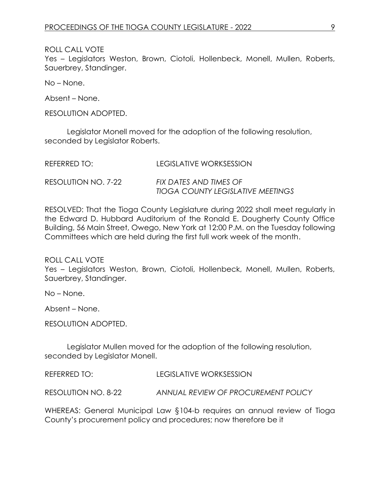ROLL CALL VOTE

Yes – Legislators Weston, Brown, Ciotoli, Hollenbeck, Monell, Mullen, Roberts, Sauerbrey, Standinger.

No – None.

Absent – None.

RESOLUTION ADOPTED.

Legislator Monell moved for the adoption of the following resolution, seconded by Legislator Roberts.

| REFERRED TO:        | LEGISLATIVE WORKSESSION                  |
|---------------------|------------------------------------------|
| RESOLUTION NO. 7-22 | FIX DATES AND TIMES OF                   |
|                     | <b>TIOGA COUNTY LEGISLATIVE MEETINGS</b> |

RESOLVED: That the Tioga County Legislature during 2022 shall meet regularly in the Edward D. Hubbard Auditorium of the Ronald E. Dougherty County Office Building, 56 Main Street, Owego, New York at 12:00 P.M. on the Tuesday following Committees which are held during the first full work week of the month.

ROLL CALL VOTE

Yes – Legislators Weston, Brown, Ciotoli, Hollenbeck, Monell, Mullen, Roberts, Sauerbrey, Standinger.

No – None.

Absent – None.

RESOLUTION ADOPTED.

Legislator Mullen moved for the adoption of the following resolution, seconded by Legislator Monell.

REFERRED TO: LEGISLATIVE WORKSESSION

RESOLUTION NO. 8-22 *ANNUAL REVIEW OF PROCUREMENT POLICY*

WHEREAS: General Municipal Law §104-b requires an annual review of Tioga County's procurement policy and procedures; now therefore be it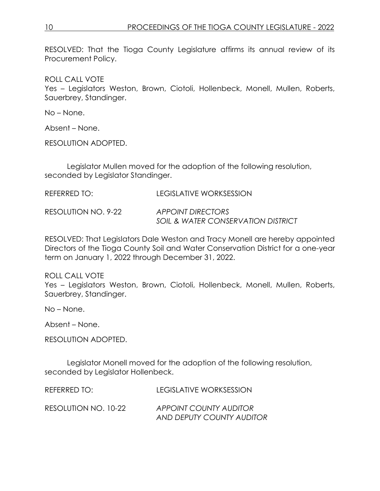RESOLVED: That the Tioga County Legislature affirms its annual review of its Procurement Policy.

ROLL CALL VOTE

Yes – Legislators Weston, Brown, Ciotoli, Hollenbeck, Monell, Mullen, Roberts, Sauerbrey, Standinger.

No – None.

Absent – None.

RESOLUTION ADOPTED.

Legislator Mullen moved for the adoption of the following resolution, seconded by Legislator Standinger.

| REFERRED TO:        | LEGISLATIVE WORKSESSION                                            |
|---------------------|--------------------------------------------------------------------|
| RESOLUTION NO. 9-22 | APPOINT DIRECTORS<br><b>SOIL &amp; WATER CONSERVATION DISTRICT</b> |

RESOLVED: That Legislators Dale Weston and Tracy Monell are hereby appointed Directors of the Tioga County Soil and Water Conservation District for a one-year term on January 1, 2022 through December 31, 2022.

ROLL CALL VOTE Yes – Legislators Weston, Brown, Ciotoli, Hollenbeck, Monell, Mullen, Roberts, Sauerbrey, Standinger.

No – None.

Absent – None.

RESOLUTION ADOPTED.

Legislator Monell moved for the adoption of the following resolution, seconded by Legislator Hollenbeck.

REFERRED TO: LEGISLATIVE WORKSESSION

RESOLUTION NO. 10-22 *APPOINT COUNTY AUDITOR AND DEPUTY COUNTY AUDITOR*